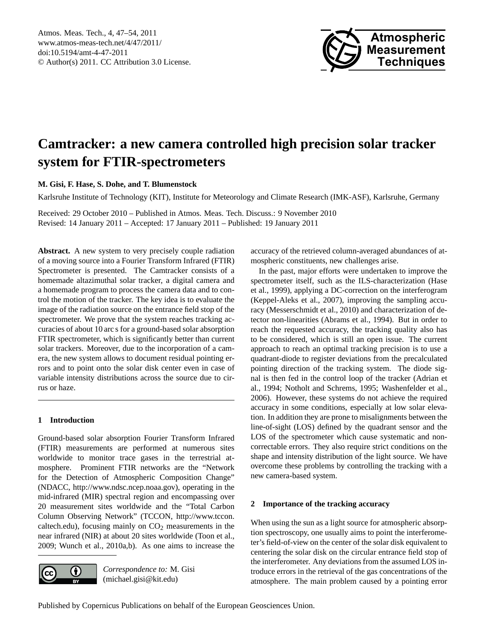<span id="page-0-0"></span>Atmos. Meas. Tech., 4, 47–54, 2011 www.atmos-meas-tech.net/4/47/2011/ doi:10.5194/amt-4-47-2011 © Author(s) 2011. CC Attribution 3.0 License.



# **Camtracker: a new camera controlled high precision solar tracker system for FTIR-spectrometers**

**M. Gisi, F. Hase, S. Dohe, and T. Blumenstock**

Karlsruhe Institute of Technology (KIT), Institute for Meteorology and Climate Research (IMK-ASF), Karlsruhe, Germany

Received: 29 October 2010 – Published in Atmos. Meas. Tech. Discuss.: 9 November 2010 Revised: 14 January 2011 – Accepted: 17 January 2011 – Published: 19 January 2011

**Abstract.** A new system to very precisely couple radiation of a moving source into a Fourier Transform Infrared (FTIR) Spectrometer is presented. The Camtracker consists of a homemade altazimuthal solar tracker, a digital camera and a homemade program to process the camera data and to control the motion of the tracker. The key idea is to evaluate the image of the radiation source on the entrance field stop of the spectrometer. We prove that the system reaches tracking accuracies of about 10 arc s for a ground-based solar absorption FTIR spectrometer, which is significantly better than current solar trackers. Moreover, due to the incorporation of a camera, the new system allows to document residual pointing errors and to point onto the solar disk center even in case of variable intensity distributions across the source due to cirrus or haze.

## **1 Introduction**

Ground-based solar absorption Fourier Transform Infrared (FTIR) measurements are performed at numerous sites worldwide to monitor trace gases in the terrestrial atmosphere. Prominent FTIR networks are the "Network for the Detection of Atmospheric Composition Change" (NDACC, [http://www.ndsc.ncep.noaa.gov\)](http://www.ndsc.ncep.noaa.gov), operating in the mid-infrared (MIR) spectral region and encompassing over 20 measurement sites worldwide and the "Total Carbon Column Observing Network" (TCCON, [http://www.tccon.](http://www.tccon.caltech.edu) [caltech.edu\)](http://www.tccon.caltech.edu), focusing mainly on  $CO<sub>2</sub>$  measurements in the near infrared (NIR) at about 20 sites worldwide [\(Toon et al.,](#page-7-0) [2009;](#page-7-0) [Wunch et al.,](#page-7-1) [2010a,](#page-7-1)[b\)](#page-7-2). As one aims to increase the



*Correspondence to:* M. Gisi (michael.gisi@kit.edu)

accuracy of the retrieved column-averaged abundances of atmospheric constituents, new challenges arise.

In the past, major efforts were undertaken to improve the spectrometer itself, such as the ILS-characterization [\(Hase](#page-7-3) [et al.,](#page-7-3) [1999\)](#page-7-3), applying a DC-correction on the interferogram [\(Keppel-Aleks et al.,](#page-7-4) [2007\)](#page-7-4), improving the sampling accuracy [\(Messerschmidt et al.,](#page-7-5) [2010\)](#page-7-5) and characterization of detector non-linearities [\(Abrams et al.,](#page-6-0) [1994\)](#page-6-0). But in order to reach the requested accuracy, the tracking quality also has to be considered, which is still an open issue. The current approach to reach an optimal tracking precision is to use a quadrant-diode to register deviations from the precalculated pointing direction of the tracking system. The diode signal is then fed in the control loop of the tracker [\(Adrian et](#page-6-1) [al.,](#page-6-1) [1994;](#page-6-1) [Notholt and Schrems,](#page-7-6) [1995;](#page-7-6) [Washenfelder et al.,](#page-7-7) [2006\)](#page-7-7). However, these systems do not achieve the required accuracy in some conditions, especially at low solar elevation. In addition they are prone to misalignments between the line-of-sight (LOS) defined by the quadrant sensor and the LOS of the spectrometer which cause systematic and noncorrectable errors. They also require strict conditions on the shape and intensity distribution of the light source. We have overcome these problems by controlling the tracking with a new camera-based system.

## **2 Importance of the tracking accuracy**

When using the sun as a light source for atmospheric absorption spectroscopy, one usually aims to point the interferometer's field-of-view on the center of the solar disk equivalent to centering the solar disk on the circular entrance field stop of the interferometer. Any deviations from the assumed LOS introduce errors in the retrieval of the gas concentrations of the atmosphere. The main problem caused by a pointing error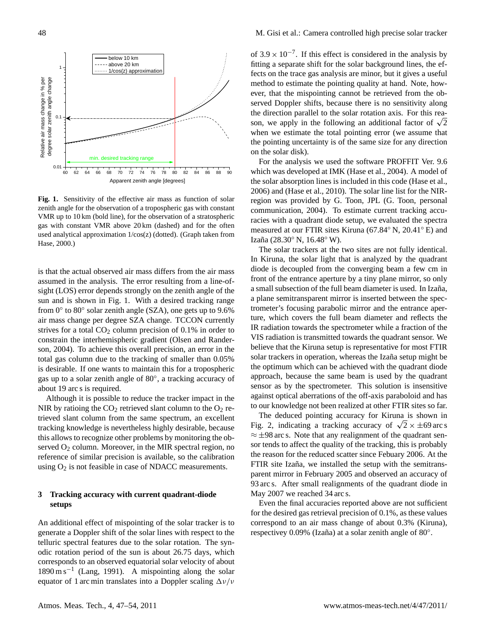

<span id="page-1-0"></span>**Fig. 1.** Sensitivity of the effective air mass as function of solar zenith angle for the observation of a tropospheric gas with constant VMR up to 10 km (bold line), for the observation of a stratospheric gas with constant VMR above 20 km (dashed) and for the often used analytical approximation 1/cos(z) (dotted). (Graph taken from [Hase,](#page-7-8) [2000.](#page-7-8))

is that the actual observed air mass differs from the air mass assumed in the analysis. The error resulting from a line-ofsight (LOS) error depends strongly on the zenith angle of the sun and is shown in Fig. [1.](#page-1-0) With a desired tracking range from 0° to 80° solar zenith angle (SZA), one gets up to 9.6% air mass change per degree SZA change. TCCON currently strives for a total  $CO<sub>2</sub>$  column precision of 0.1% in order to constrain the interhemispheric gradient [\(Olsen and Rander](#page-7-9)[son,](#page-7-9) [2004\)](#page-7-9). To achieve this overall precision, an error in the total gas column due to the tracking of smaller than 0.05% is desirable. If one wants to maintain this for a tropospheric gas up to a solar zenith angle of 80◦ , a tracking accuracy of about 19 arc s is required.

Although it is possible to reduce the tracker impact in the NIR by ratioing the  $CO<sub>2</sub>$  retrieved slant column to the  $O<sub>2</sub>$  retrieved slant column from the same spectrum, an excellent tracking knowledge is nevertheless highly desirable, because this allows to recognize other problems by monitoring the observed  $O_2$  column. Moreover, in the MIR spectral region, no reference of similar precision is available, so the calibration using  $O_2$  is not feasible in case of NDACC measurements.

## <span id="page-1-1"></span>**3 Tracking accuracy with current quadrant-diode setups**

An additional effect of mispointing of the solar tracker is to generate a Doppler shift of the solar lines with respect to the telluric spectral features due to the solar rotation. The synodic rotation period of the sun is about 26.75 days, which corresponds to an observed equatorial solar velocity of about 1890 m s−<sup>1</sup> [\(Lang,](#page-7-10) [1991\)](#page-7-10). A mispointing along the solar equator of 1 arc min translates into a Doppler scaling  $\Delta v/v$ 

of  $3.9 \times 10^{-7}$ . If this effect is considered in the analysis by fitting a separate shift for the solar background lines, the effects on the trace gas analysis are minor, but it gives a useful method to estimate the pointing quality at hand. Note, however, that the mispointing cannot be retrieved from the observed Doppler shifts, because there is no sensitivity along the direction parallel to the solar rotation axis. For this reathe direction parallel to the solar rotation axis. For this reason, we apply in the following an additional factor of  $\sqrt{2}$ when we estimate the total pointing error (we assume that the pointing uncertainty is of the same size for any direction on the solar disk).

For the analysis we used the software PROFFIT Ver. 9.6 which was developed at IMK [\(Hase et al.,](#page-7-11) [2004\)](#page-7-11). A model of the solar absorption lines is included in this code [\(Hase et al.,](#page-7-12) [2006\)](#page-7-12) and [\(Hase et al.,](#page-7-13) [2010\)](#page-7-13). The solar line list for the NIRregion was provided by G. Toon, JPL (G. Toon, personal communication, 2004). To estimate current tracking accuracies with a quadrant diode setup, we evaluated the spectra measured at our FTIR sites Kiruna (67.84◦ N, 20.41◦ E) and Izaña (28.30° N, 16.48° W).

The solar trackers at the two sites are not fully identical. In Kiruna, the solar light that is analyzed by the quadrant diode is decoupled from the converging beam a few cm in front of the entrance aperture by a tiny plane mirror, so only a small subsection of the full beam diameter is used. In Izaña, a plane semitransparent mirror is inserted between the spectrometer's focusing parabolic mirror and the entrance aperture, which covers the full beam diameter and reflects the IR radiation towards the spectrometer while a fraction of the VIS radiation is transmitted towards the quadrant sensor. We believe that the Kiruna setup is representative for most FTIR solar trackers in operation, whereas the Izaña setup might be the optimum which can be achieved with the quadrant diode approach, because the same beam is used by the quadrant sensor as by the spectrometer. This solution is insensitive against optical aberrations of the off-axis paraboloid and has to our knowledge not been realized at other FTIR sites so far.

The deduced pointing accuracy for Kiruna is shown in The deduced pointing accuracy for Kiruna is shown in Fig. [2,](#page-2-0) indicating a tracking accuracy of  $\sqrt{2} \times \pm 69$  arc s  $\approx \pm 98$  arc s. Note that any realignment of the quadrant sensor tends to affect the quality of the tracking, this is probably the reason for the reduced scatter since Febuary 2006. At the FTIR site Izaña, we installed the setup with the semitransparent mirror in February 2005 and observed an accuracy of 93 arc s. After small realignments of the quadrant diode in May 2007 we reached 34 arc s.

Even the final accuracies reported above are not sufficient for the desired gas retrieval precision of 0.1%, as these values correspond to an air mass change of about 0.3% (Kiruna), respectivey 0.09% (Izaña) at a solar zenith angle of 80°.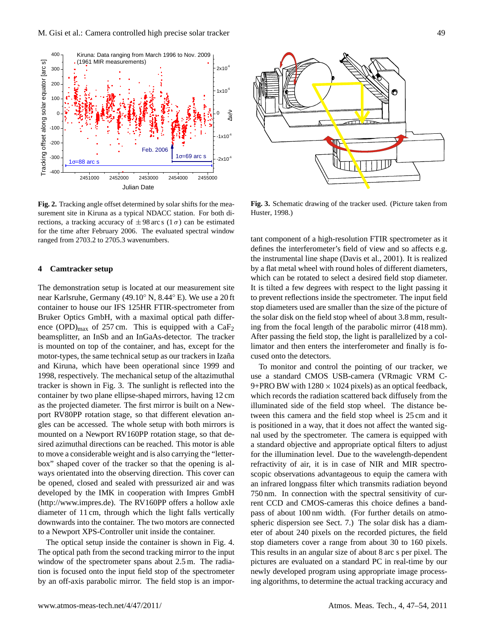

<span id="page-2-0"></span>**Fig. 2.** Tracking angle offset determined by solar shifts for the measurement site in Kiruna as a typical NDACC station. For both directions, a tracking accuracy of  $\pm 98$  arc s (1 $\sigma$ ) can be estimated for the time after February 2006. The evaluated spectral window ranged from 2703.2 to 2705.3 wavenumbers.

#### **4 Camtracker setup**

The demonstration setup is located at our measurement site near Karlsruhe, Germany (49.10◦ N, 8.44◦ E). We use a 20 ft container to house our IFS 125HR FTIR-spectrometer from Bruker Optics GmbH, with a maximal optical path difference (OPD)<sub>max</sub> of 257 cm. This is equipped with a  $CaF<sub>2</sub>$ beamsplitter, an InSb and an InGaAs-detector. The tracker is mounted on top of the container, and has, except for the motor-types, the same technical setup as our trackers in Izaña and Kiruna, which have been operational since 1999 and 1998, respectively. The mechanical setup of the altazimuthal tracker is shown in Fig. [3.](#page-2-1) The sunlight is reflected into the container by two plane ellipse-shaped mirrors, having 12 cm as the projected diameter. The first mirror is built on a Newport RV80PP rotation stage, so that different elevation angles can be accessed. The whole setup with both mirrors is mounted on a Newport RV160PP rotation stage, so that desired azimuthal directions can be reached. This motor is able to move a considerable weight and is also carrying the "letterbox" shaped cover of the tracker so that the opening is always orientated into the observing direction. This cover can be opened, closed and sealed with pressurized air and was developed by the IMK in cooperation with Impres GmbH [\(http://www.impres.de\)](http://www.impres.de). The RV160PP offers a hollow axle diameter of 11 cm, through which the light falls vertically downwards into the container. The two motors are connected to a Newport XPS-Controller unit inside the container.

The optical setup inside the container is shown in Fig. [4.](#page-3-0) The optical path from the second tracking mirror to the input window of the spectrometer spans about 2.5 m. The radiation is focused onto the input field stop of the spectrometer by an off-axis parabolic mirror. The field stop is an impor-



<span id="page-2-1"></span>**Fig. 3.** Schematic drawing of the tracker used. (Picture taken from [Huster,](#page-7-14) [1998.](#page-7-14))

tant component of a high-resolution FTIR spectrometer as it defines the interferometer's field of view and so affects e.g. the instrumental line shape [\(Davis et al.,](#page-7-15) [2001\)](#page-7-15). It is realized by a flat metal wheel with round holes of different diameters, which can be rotated to select a desired field stop diameter. It is tilted a few degrees with respect to the light passing it to prevent reflections inside the spectrometer. The input field stop diameters used are smaller than the size of the picture of the solar disk on the field stop wheel of about 3.8 mm, resulting from the focal length of the parabolic mirror (418 mm). After passing the field stop, the light is parallelized by a collimator and then enters the interferometer and finally is focused onto the detectors.

To monitor and control the pointing of our tracker, we use a standard CMOS USB-camera (VRmagic VRM C-9+PRO BW with  $1280 \times 1024$  pixels) as an optical feedback, which records the radiation scattered back diffusely from the illuminated side of the field stop wheel. The distance between this camera and the field stop wheel is 25 cm and it is positioned in a way, that it does not affect the wanted signal used by the spectrometer. The camera is equipped with a standard objective and appropriate optical filters to adjust for the illumination level. Due to the wavelength-dependent refractivity of air, it is in case of NIR and MIR spectroscopic observations advantageous to equip the camera with an infrared longpass filter which transmits radiation beyond 750 nm. In connection with the spectral sensitivity of current CCD and CMOS-cameras this choice defines a bandpass of about 100 nm width. (For further details on atmospheric dispersion see Sect. [7.](#page-4-0)) The solar disk has a diameter of about 240 pixels on the recorded pictures, the field stop diameters cover a range from about 30 to 160 pixels. This results in an angular size of about 8 arc s per pixel. The pictures are evaluated on a standard PC in real-time by our newly developed program using appropriate image processing algorithms, to determine the actual tracking accuracy and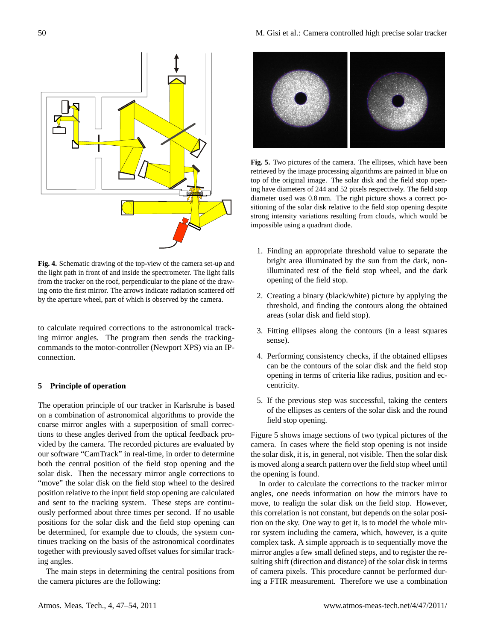

<span id="page-3-0"></span>**Fig. 4.** Schematic drawing of the top-view of the camera set-up and the light path in front of and inside the spectrometer. The light falls from the tracker on the roof, perpendicular to the plane of the drawing onto the first mirror. The arrows indicate radiation scattered off by the aperture wheel, part of which is observed by the camera.

to calculate required corrections to the astronomical tracking mirror angles. The program then sends the trackingcommands to the motor-controller (Newport XPS) via an IPconnection.

### **5 Principle of operation**

The operation principle of our tracker in Karlsruhe is based on a combination of astronomical algorithms to provide the coarse mirror angles with a superposition of small corrections to these angles derived from the optical feedback provided by the camera. The recorded pictures are evaluated by our software "CamTrack" in real-time, in order to determine both the central position of the field stop opening and the solar disk. Then the necessary mirror angle corrections to "move" the solar disk on the field stop wheel to the desired position relative to the input field stop opening are calculated and sent to the tracking system. These steps are continuously performed about three times per second. If no usable positions for the solar disk and the field stop opening can be determined, for example due to clouds, the system continues tracking on the basis of the astronomical coordinates together with previously saved offset values for similar tracking angles.

The main steps in determining the central positions from the camera pictures are the following:



<span id="page-3-1"></span>**Fig. 5.** Two pictures of the camera. The ellipses, which have been retrieved by the image processing algorithms are painted in blue on top of the original image. The solar disk and the field stop opening have diameters of 244 and 52 pixels respectively. The field stop diameter used was 0.8 mm. The right picture shows a correct positioning of the solar disk relative to the field stop opening despite strong intensity variations resulting from clouds, which would be impossible using a quadrant diode.

- 1. Finding an appropriate threshold value to separate the bright area illuminated by the sun from the dark, nonilluminated rest of the field stop wheel, and the dark opening of the field stop.
- 2. Creating a binary (black/white) picture by applying the threshold, and finding the contours along the obtained areas (solar disk and field stop).
- 3. Fitting ellipses along the contours (in a least squares sense).
- 4. Performing consistency checks, if the obtained ellipses can be the contours of the solar disk and the field stop opening in terms of criteria like radius, position and eccentricity.
- 5. If the previous step was successful, taking the centers of the ellipses as centers of the solar disk and the round field stop opening.

Figure [5](#page-3-1) shows image sections of two typical pictures of the camera. In cases where the field stop opening is not inside the solar disk, it is, in general, not visible. Then the solar disk is moved along a search pattern over the field stop wheel until the opening is found.

In order to calculate the corrections to the tracker mirror angles, one needs information on how the mirrors have to move, to realign the solar disk on the field stop. However, this correlation is not constant, but depends on the solar position on the sky. One way to get it, is to model the whole mirror system including the camera, which, however, is a quite complex task. A simple approach is to sequentially move the mirror angles a few small defined steps, and to register the resulting shift (direction and distance) of the solar disk in terms of camera pixels. This procedure cannot be performed during a FTIR measurement. Therefore we use a combination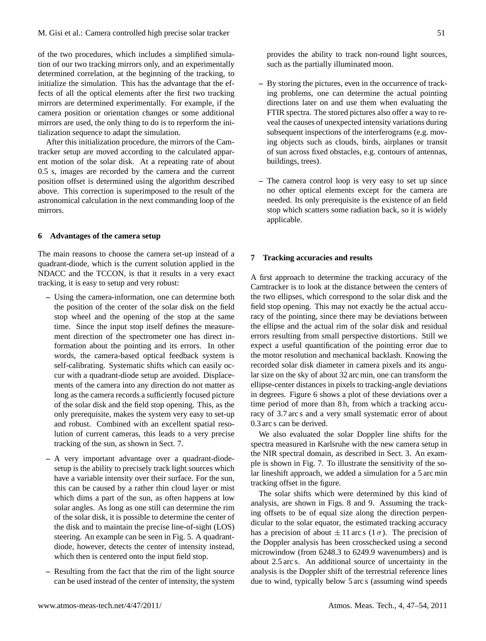of the two procedures, which includes a simplified simulation of our two tracking mirrors only, and an experimentally determined correlation, at the beginning of the tracking, to initialize the simulation. This has the advantage that the effects of all the optical elements after the first two tracking mirrors are determined experimentally. For example, if the camera position or orientation changes or some additional mirrors are used, the only thing to do is to reperform the initialization sequence to adapt the simulation.

After this initialization procedure, the mirrors of the Camtracker setup are moved according to the calculated apparent motion of the solar disk. At a repeating rate of about 0.5 s, images are recorded by the camera and the current position offset is determined using the algorithm described above. This correction is superimposed to the result of the astronomical calculation in the next commanding loop of the mirrors.

#### **6 Advantages of the camera setup**

The main reasons to choose the camera set-up instead of a quadrant-diode, which is the current solution applied in the NDACC and the TCCON, is that it results in a very exact tracking, it is easy to setup and very robust:

- **–** Using the camera-information, one can determine both the position of the center of the solar disk on the field stop wheel and the opening of the stop at the same time. Since the input stop itself defines the measurement direction of the spectrometer one has direct information about the pointing and its errors. In other words, the camera-based optical feedback system is self-calibrating. Systematic shifts which can easily occur with a quadrant-diode setup are avoided. Displacements of the camera into any direction do not matter as long as the camera records a sufficiently focused picture of the solar disk and the field stop opening. This, as the only prerequisite, makes the system very easy to set-up and robust. Combined with an excellent spatial resolution of current cameras, this leads to a very precise tracking of the sun, as shown in Sect. [7.](#page-4-0)
- **–** A very important advantage over a quadrant-diodesetup is the ability to precisely track light sources which have a variable intensity over their surface. For the sun, this can be caused by a rather thin cloud layer or mist which dims a part of the sun, as often happens at low solar angles. As long as one still can determine the rim of the solar disk, it is possible to determine the center of the disk and to maintain the precise line-of-sight (LOS) steering. An example can be seen in Fig. [5.](#page-3-1) A quadrantdiode, however, detects the center of intensity instead, which then is centered onto the input field stop.
- **–** Resulting from the fact that the rim of the light source can be used instead of the center of intensity, the system

provides the ability to track non-round light sources, such as the partially illuminated moon.

- **–** By storing the pictures, even in the occurrence of tracking problems, one can determine the actual pointing directions later on and use them when evaluating the FTIR spectra. The stored pictures also offer a way to reveal the causes of unexpected intensity variations during subsequent inspections of the interferograms (e.g. moving objects such as clouds, birds, airplanes or transit of sun across fixed obstacles, e.g. contours of antennas, buildings, trees).
- **–** The camera control loop is very easy to set up since no other optical elements except for the camera are needed. Its only prerequisite is the existence of an field stop which scatters some radiation back, so it is widely applicable.

#### <span id="page-4-0"></span>**7 Tracking accuracies and results**

A first approach to determine the tracking accuracy of the Camtracker is to look at the distance between the centers of the two ellipses, which correspond to the solar disk and the field stop opening. This may not exactly be the actual accuracy of the pointing, since there may be deviations between the ellipse and the actual rim of the solar disk and residual errors resulting from small perspective distortions. Still we expect a useful quantification of the pointing error due to the motor resolution and mechanical backlash. Knowing the recorded solar disk diameter in camera pixels and its angular size on the sky of about 32 arc min, one can transform the ellipse-center distances in pixels to tracking-angle deviations in degrees. Figure [6](#page-5-0) shows a plot of these deviations over a time period of more than 8h, from which a tracking accuracy of 3.7 arc s and a very small systematic error of about 0.3 arc s can be derived.

We also evaluated the solar Doppler line shifts for the spectra measured in Karlsruhe with the new camera setup in the NIR spectral domain, as described in Sect. [3.](#page-1-1) An example is shown in Fig. [7.](#page-5-1) To illustrate the sensitivity of the solar lineshift approach, we added a simulation for a 5 arc min tracking offset in the figure.

The solar shifts which were determined by this kind of analysis, are shown in Figs. [8](#page-6-2) and [9.](#page-6-3) Assuming the tracking offsets to be of equal size along the direction perpendicular to the solar equator, the estimated tracking accuracy has a precision of about  $\pm 11$  arc s (1 $\sigma$ ). The precision of the Doppler analysis has been crosschecked using a second microwindow (from 6248.3 to 6249.9 wavenumbers) and is about 2.5 arc s. An additional source of uncertainty in the analysis is the Doppler shift of the terrestrial reference lines due to wind, typically below 5 arc s (assuming wind speeds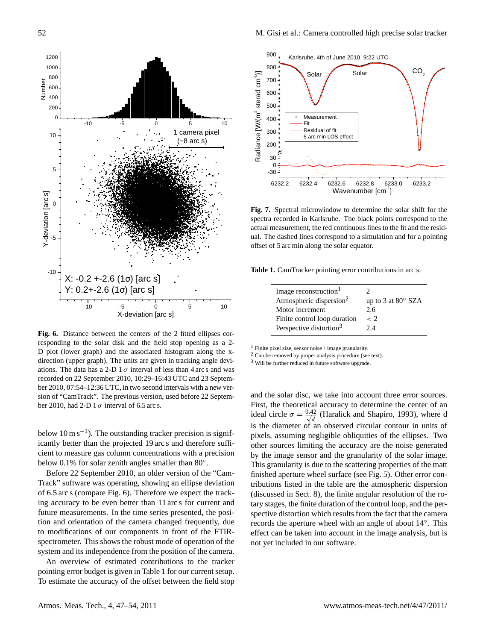

<span id="page-5-0"></span>**Fig. 6.** Distance between the centers of the 2 fitted ellipses corresponding to the solar disk and the field stop opening as a 2- D plot (lower graph) and the associated histogram along the xdirection (upper graph). The units are given in tracking angle deviations. The data has a 2-D  $1\sigma$  interval of less than 4 arc s and was recorded on 22 September 2010, 10:29–16:43 UTC and 23 September 2010, 07:54–12:36 UTC, in two second intervals with a new version of "CamTrack". The previous version, used before 22 September 2010, had 2-D 1  $\sigma$  interval of 6.5 arc s.

below  $10 \text{ m s}^{-1}$ ). The outstanding tracker precision is significantly better than the projected 19 arc s and therefore sufficient to measure gas column concentrations with a precision below 0.1% for solar zenith angles smaller than  $80^\circ$ .

Before 22 September 2010, an older version of the "Cam-Track" software was operating, showing an ellipse deviation of 6.5 arc s (compare Fig. [6\)](#page-5-0). Therefore we expect the tracking accuracy to be even better than 11 arc s for current and future measurements. In the time series presented, the position and orientation of the camera changed frequently, due to modifications of our components in front of the FTIRspectrometer. This shows the robust mode of operation of the system and its independence from the position of the camera.

An overview of estimated contributions to the tracker pointing error budget is given in Table [1](#page-5-2) for our current setup. To estimate the accuracy of the offset between the field stop



<span id="page-5-1"></span>**Fig. 7.** Spectral microwindow to determine the solar shift for the spectra recorded in Karlsruhe. The black points correspond to the actual measurement, the red continuous lines to the fit and the residual. The dashed lines correspond to a simulation and for a pointing offset of 5 arc min along the solar equator.

**Table 1.** CamTracker pointing error contributions in arc s.

<span id="page-5-2"></span>

| Image reconstruction <sup>1</sup>   | $\mathcal{D}$             |
|-------------------------------------|---------------------------|
| Atmospheric dispersion <sup>2</sup> | up to 3 at $80^\circ$ SZA |
| Motor increment                     | 2.6                       |
| Finite control loop duration        | $\lt 2$                   |
| Perspective distortion <sup>3</sup> | 2.4                       |

 $<sup>1</sup>$  Finite pixel size, sensor noise + image granularity.</sup>

<sup>2</sup> Can be removed by proper analysis procedure (see text).

<sup>3</sup> Will be further reduced in future software upgrade.

and the solar disc, we take into account three error sources. First, the theoretical accuracy to determine the center of an ideal circle  $\sigma = \frac{0.42}{\sqrt{d}}$  [\(Haralick and Shapiro,](#page-7-16) [1993\)](#page-7-16), where d is the diameter of an observed circular contour in units of pixels, assuming negligible obliquities of the ellipses. Two other sources limiting the accuracy are the noise generated by the image sensor and the granularity of the solar image. This granularity is due to the scattering properties of the matt finished aperture wheel surface (see Fig. [5\)](#page-3-1). Other error contributions listed in the table are the atmospheric dispersion (discussed in Sect. [8\)](#page-6-4), the finite angular resolution of the rotary stages, the finite duration of the control loop, and the perspective distortion which results from the fact that the camera records the aperture wheel with an angle of about 14◦ . This effect can be taken into account in the image analysis, but is not yet included in our software.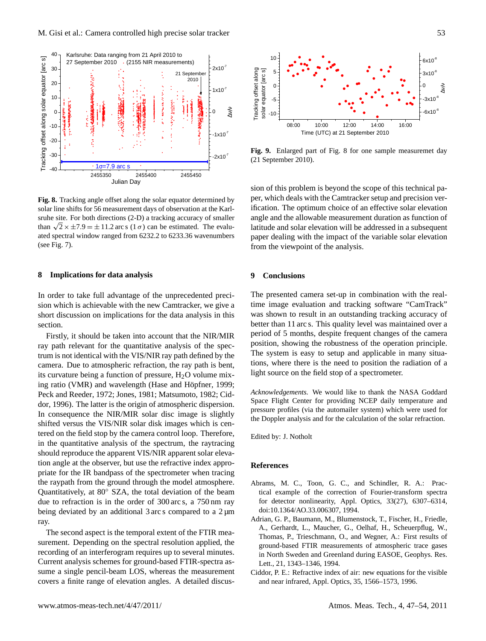

<span id="page-6-2"></span>**Fig. 8.** Tracking angle offset along the solar equator determined by solar line shifts for 56 measurement days of observation at the Karlsruhe site. For both directions (2-D) a tracking accuracy of smaller srune site. For both directions (2-D) a tracking accuracy or smaller<br>than  $\sqrt{2} \times \pm 7.9 = \pm 11.2$  arc s (1  $\sigma$ ) can be estimated. The evaluated spectral window ranged from 6232.2 to 6233.36 wavenumbers (see Fig. [7\)](#page-5-1).

#### <span id="page-6-4"></span>**8 Implications for data analysis**

In order to take full advantage of the unprecedented precision which is achievable with the new Camtracker, we give a short discussion on implications for the data analysis in this section.

Firstly, it should be taken into account that the NIR/MIR ray path relevant for the quantitative analysis of the spectrum is not identical with the VIS/NIR ray path defined by the camera. Due to atmospheric refraction, the ray path is bent, its curvature being a function of pressure,  $H_2O$  volume mix-ing ratio (VMR) and wavelength (Hase and Höpfner, [1999;](#page-7-17) [Peck and Reeder,](#page-7-18) [1972;](#page-7-18) [Jones,](#page-7-19) [1981;](#page-7-19) [Matsumoto,](#page-7-20) [1982;](#page-7-20) [Cid](#page-6-5)[dor,](#page-6-5) [1996\)](#page-6-5). The latter is the origin of atmospheric dispersion. In consequence the NIR/MIR solar disc image is slightly shifted versus the VIS/NIR solar disk images which is centered on the field stop by the camera control loop. Therefore, in the quantitative analysis of the spectrum, the raytracing should reproduce the apparent VIS/NIR apparent solar elevation angle at the observer, but use the refractive index appropriate for the IR bandpass of the spectrometer when tracing the raypath from the ground through the model atmosphere. Quantitatively, at 80◦ SZA, the total deviation of the beam due to refraction is in the order of 300 arc s, a 750 nm ray being deviated by an additional 3 arc s compared to a  $2 \mu m$ ray.

The second aspect is the temporal extent of the FTIR measurement. Depending on the spectral resolution applied, the recording of an interferogram requires up to several minutes. Current analysis schemes for ground-based FTIR-spectra assume a single pencil-beam LOS, whereas the measurement covers a finite range of elevation angles. A detailed discus-



<span id="page-6-3"></span>**Fig. 9.** Enlarged part of Fig. [8](#page-6-2) for one sample measuremet day (21 September 2010).

sion of this problem is beyond the scope of this technical paper, which deals with the Camtracker setup and precision verification. The optimum choice of an effective solar elevation angle and the allowable measurement duration as function of latitude and solar elevation will be addressed in a subsequent paper dealing with the impact of the variable solar elevation from the viewpoint of the analysis.

## **9 Conclusions**

The presented camera set-up in combination with the realtime image evaluation and tracking software "CamTrack" was shown to result in an outstanding tracking accuracy of better than 11 arc s. This quality level was maintained over a period of 5 months, despite frequent changes of the camera position, showing the robustness of the operation principle. The system is easy to setup and applicable in many situations, where there is the need to position the radiation of a light source on the field stop of a spectrometer.

*Acknowledgements.* We would like to thank the NASA Goddard Space Flight Center for providing NCEP daily temperature and pressure profiles (via the automailer system) which were used for the Doppler analysis and for the calculation of the solar refraction.

Edited by: J. Notholt

#### **References**

- <span id="page-6-0"></span>Abrams, M. C., Toon, G. C., and Schindler, R. A.: Practical example of the correction of Fourier-transform spectra for detector nonlinearity, Appl. Optics, 33(27), 6307–6314, doi:10.1364/AO.33.006307, 1994.
- <span id="page-6-1"></span>Adrian, G. P., Baumann, M., Blumenstock, T., Fischer, H., Friedle, A., Gerhardt, L., Maucher, G., Oelhaf, H., Scheuerpflug, W., Thomas, P., Trieschmann, O., and Wegner, A.: First results of ground-based FTIR measurements of atmospheric trace gases in North Sweden and Greenland during EASOE, Geophys. Res. Lett., 21, 1343–1346, 1994.
- <span id="page-6-5"></span>Ciddor, P. E.: Refractive index of air: new equations for the visible and near infrared, Appl. Optics, 35, 1566–1573, 1996.